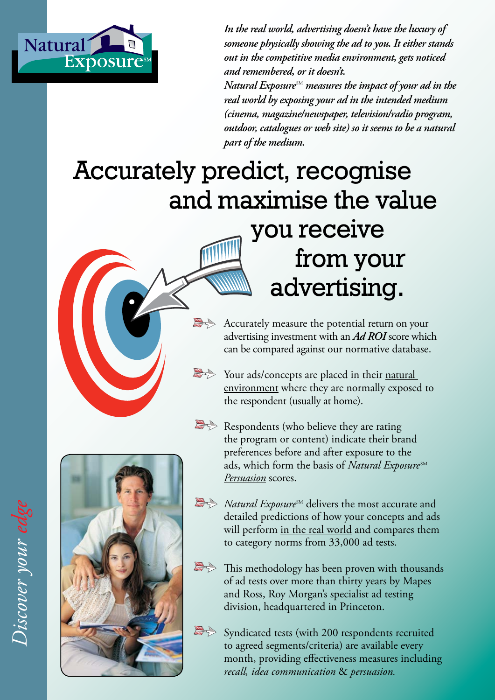

*In the real world, advertising doesn't have the luxury of someone physically showing the ad to you. It either stands out in the competitive media environment, gets noticed and remembered, or it doesn't.*

*Natural Exposure*  SM *measures the impact of your ad in the real world by exposing your ad in the intended medium (cinema, magazine/newspaper, television/radio program, outdoor, catalogues or web site) so it seems to be a natural part of the medium.*

# Accurately predict, recognise and maximise the value you receive from your advertising.



Your ads/concepts are placed in their natural environment where they are normally exposed to the respondent (usually at home).

 $\Rightarrow$  Respondents (who believe they are rating the program or content) indicate their brand preferences before and after exposure to the ads, which form the basis of *Natural Exposure*<sup>SM</sup> *Persuasion* scores.



- *A Natural Exposure<sup>SM</sup>* delivers the most accurate and detailed predictions of how your concepts and ads will perform <u>in the real world</u> and compares them to category norms from 33,000 ad tests.
- This methodology has been proven with thousands of ad tests over more than thirty years by Mapes and Ross, Roy Morgan's specialist ad testing division, headquartered in Princeton.



Syndicated tests (with 200 respondents recruited to agreed segments/criteria) are available every month, providing effectiveness measures including *recall, idea communication* & *persuasion.*

*Discover your edge* Discover your edge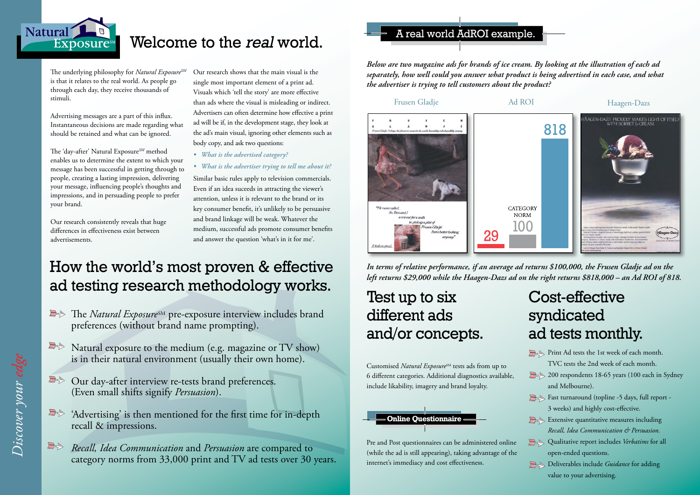

## Welcome to the real world.

Frusen Gladje Ad ROI Haagen-Dazs

Our research shows that the main visual is the single most important element of a print ad. Visuals which 'tell the story' are more effective than ads where the visual is misleading or indirect. Advertisers can often determine how effective a print ad will be if, in the development stage, they look at the ad's main visual, ignoring other elements such as body copy, and ask two questions:

- *What is the advertised category?*
- *What is the advertiser trying to tell me about it?*

Similar basic rules apply to television commercials. Even if an idea suceeds in attracting the viewer's attention, unless it is relevant to the brand or its key consumer benefit, it's unlikely to be persuasive and brand linkage will be weak. Whatever the medium, successful ads promote consumer benefits and answer the question 'what's in it for me'.

The underlying philosophy for *Natural ExposureSM* is that it relates to the real world. As people go through each day, they receive thousands of stimuli.

- **The** *Natural Exposure*<sup>SM</sup> pre-exposure interview includes brand preferences (without brand name prompting).
- Natural exposure to the medium (e.g. magazine or TV show) is in their natural environment (usually their own home).
- Our day-after interview re-tests brand preferences. (Even small shifts signify *Persuasion*).
- 'Advertising' is then mentioned for the first time for in-depth recall & impressions.
- *Recall, Idea Communication* and *Persuasion* are compared to category norms from 33,000 print and TV ad tests over 30 years.

Advertising messages are a part of this influx. Instantaneous decisions are made regarding what should be retained and what can be ignored.

The 'day-after' Natural Exposure*SM* method enables us to determine the extent to which your message has been successful in getting through to people, creating a lasting impression, delivering your message, influencing people's thoughts and impressions, and in persuading people to prefer your brand.

> Customised *Natural Exposure<sup>SM</sup>* tests ads from up to 6 different categories. Additional diagnostics available, include likability, imagery and brand loyalty.

Our research consistently reveals that huge differences in effectiveness exist between advertisements.

## How the world's most proven & effective ad testing research methodology works.

Print Ad tests the 1st week of each month. TVC tests the 2nd week of each month. 200 respondents 18-65 years (100 each in Sydney and Melbourne). Fast turnaround (topline -5 days, full report -3 weeks) and highly cost-effective. Extensive quantitative measures including *Recall, Idea Communication & Persuasion.* **Qualitative report includes** *Verbatims* for all open-ended questions. **Deliverables include** *Guidance* for adding value to your advertising.

### A real world AdROI example.

*Below are two magazine ads for brands of ice cream. By looking at the illustration of each ad separately, how well could you answer what product is being advertised in each case, and what the advertiser is trying to tell customers about the product?*







*In terms of relative performance, if an average ad returns \$100,000, the Frusen Gladje ad on the left returns \$29,000 while the Haagen-Dazs ad on the right returns \$818,000 – an Ad ROI of 818.*



## Test up to six different ads and/or concepts.

Pre and Post questionnaires can be administered online (while the ad is still appearing), taking advantage of the internet's immediacy and cost effectiveness.

## Cost-effective syndicated ad tests monthly.